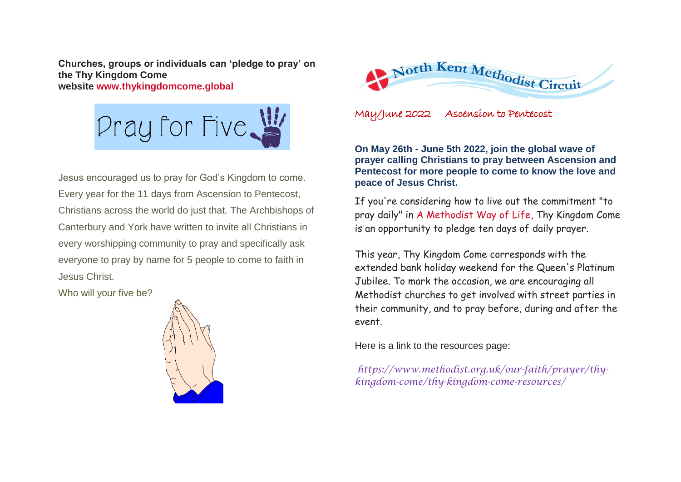**Churches, groups or individuals can 'pledge to pray' on the Thy Kingdom Come website www.thykingdomcome.global**



Jesus encouraged us to pray for God's Kingdom to come. Every year for the 11 days from Ascension to Pentecost, Christians across the world do just that. The Archbishops of Canterbury and York have written to invite all Christians in every worshipping community to pray and specifically ask everyone to pray by name for 5 people to come to faith in Jesus Christ.

Who will your five be?



May/June 2022 Ascension to Pentecost

**On May 26th - June 5th 2022, join the global wave of prayer calling Christians to pray between Ascension and Pentecost for more people to come to know the love and peace of Jesus Christ.**

If you're considering how to live out the commitment "to pray daily" in A Methodist Way of Life, Thy Kingdom Come is an opportunity to pledge ten days of daily prayer.

This year, Thy Kingdom Come corresponds with the extended bank holiday weekend for the Queen's Platinum Jubilee. To mark the occasion, we are encouraging all Methodist churches to get involved with street parties in their community, and to pray before, during and after the event.

Here is a link to the resources page:

*https://www.methodist.org.uk/our-faith/prayer/thykingdom-come/thy-kingdom-come-resources/*